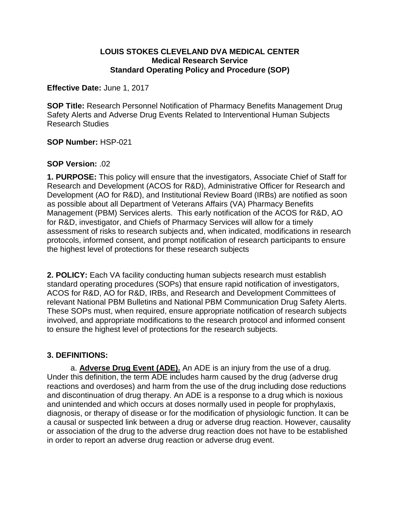#### **LOUIS STOKES CLEVELAND DVA MEDICAL CENTER Medical Research Service Standard Operating Policy and Procedure (SOP)**

**Effective Date:** June 1, 2017

**SOP Title:** Research Personnel Notification of Pharmacy Benefits Management Drug Safety Alerts and Adverse Drug Events Related to Interventional Human Subjects Research Studies

**SOP Number:** HSP-021

### **SOP Version:** .02

**1. PURPOSE:** This policy will ensure that the investigators, Associate Chief of Staff for Research and Development (ACOS for R&D), Administrative Officer for Research and Development (AO for R&D), and Institutional Review Board (IRBs) are notified as soon as possible about all Department of Veterans Affairs (VA) Pharmacy Benefits Management (PBM) Services alerts. This early notification of the ACOS for R&D, AO for R&D, investigator, and Chiefs of Pharmacy Services will allow for a timely assessment of risks to research subjects and, when indicated, modifications in research protocols, informed consent, and prompt notification of research participants to ensure the highest level of protections for these research subjects

**2. POLICY:** Each VA facility conducting human subjects research must establish standard operating procedures (SOPs) that ensure rapid notification of investigators, ACOS for R&D, AO for R&D, IRBs, and Research and Development Committees of relevant National PBM Bulletins and National PBM Communication Drug Safety Alerts. These SOPs must, when required, ensure appropriate notification of research subjects involved, and appropriate modifications to the research protocol and informed consent to ensure the highest level of protections for the research subjects.

## **3. DEFINITIONS:**

a. **Adverse Drug Event (ADE).** An ADE is an injury from the use of a drug. Under this definition, the term ADE includes harm caused by the drug (adverse drug reactions and overdoses) and harm from the use of the drug including dose reductions and discontinuation of drug therapy. An ADE is a response to a drug which is noxious and unintended and which occurs at doses normally used in people for prophylaxis, diagnosis, or therapy of disease or for the modification of physiologic function. It can be a causal or suspected link between a drug or adverse drug reaction. However, causality or association of the drug to the adverse drug reaction does not have to be established in order to report an adverse drug reaction or adverse drug event.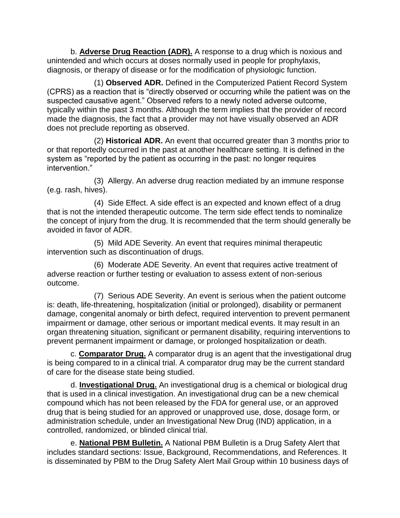b. **Adverse Drug Reaction (ADR).** A response to a drug which is noxious and unintended and which occurs at doses normally used in people for prophylaxis, diagnosis, or therapy of disease or for the modification of physiologic function.

(1) **Observed ADR.** Defined in the Computerized Patient Record System (CPRS) as a reaction that is "directly observed or occurring while the patient was on the suspected causative agent." Observed refers to a newly noted adverse outcome, typically within the past 3 months. Although the term implies that the provider of record made the diagnosis, the fact that a provider may not have visually observed an ADR does not preclude reporting as observed.

(2) **Historical ADR.** An event that occurred greater than 3 months prior to or that reportedly occurred in the past at another healthcare setting. It is defined in the system as "reported by the patient as occurring in the past: no longer requires intervention."

(3) Allergy. An adverse drug reaction mediated by an immune response (e.g. rash, hives).

(4) Side Effect. A side effect is an expected and known effect of a drug that is not the intended therapeutic outcome. The term side effect tends to nominalize the concept of injury from the drug. It is recommended that the term should generally be avoided in favor of ADR.

(5) Mild ADE Severity. An event that requires minimal therapeutic intervention such as discontinuation of drugs.

(6) Moderate ADE Severity. An event that requires active treatment of adverse reaction or further testing or evaluation to assess extent of non-serious outcome.

(7) Serious ADE Severity. An event is serious when the patient outcome is: death, life-threatening, hospitalization (initial or prolonged), disability or permanent damage, congenital anomaly or birth defect, required intervention to prevent permanent impairment or damage, other serious or important medical events. It may result in an organ threatening situation, significant or permanent disability, requiring interventions to prevent permanent impairment or damage, or prolonged hospitalization or death.

c. **Comparator Drug.** A comparator drug is an agent that the investigational drug is being compared to in a clinical trial. A comparator drug may be the current standard of care for the disease state being studied.

d. **Investigational Drug.** An investigational drug is a chemical or biological drug that is used in a clinical investigation. An investigational drug can be a new chemical compound which has not been released by the FDA for general use, or an approved drug that is being studied for an approved or unapproved use, dose, dosage form, or administration schedule, under an Investigational New Drug (IND) application, in a controlled, randomized, or blinded clinical trial.

e. **National PBM Bulletin.** A National PBM Bulletin is a Drug Safety Alert that includes standard sections: Issue, Background, Recommendations, and References. It is disseminated by PBM to the Drug Safety Alert Mail Group within 10 business days of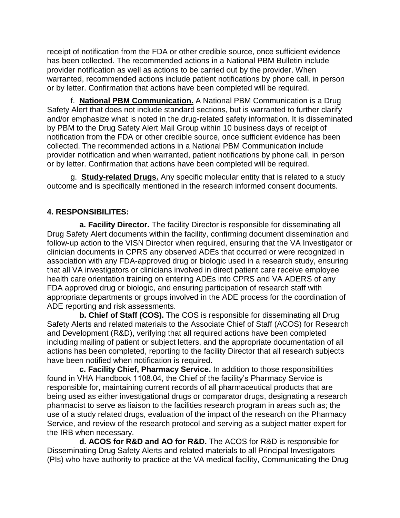receipt of notification from the FDA or other credible source, once sufficient evidence has been collected. The recommended actions in a National PBM Bulletin include provider notification as well as actions to be carried out by the provider. When warranted, recommended actions include patient notifications by phone call, in person or by letter. Confirmation that actions have been completed will be required.

f. **National PBM Communication.** A National PBM Communication is a Drug Safety Alert that does not include standard sections, but is warranted to further clarify and/or emphasize what is noted in the drug-related safety information. It is disseminated by PBM to the Drug Safety Alert Mail Group within 10 business days of receipt of notification from the FDA or other credible source, once sufficient evidence has been collected. The recommended actions in a National PBM Communication include provider notification and when warranted, patient notifications by phone call, in person or by letter. Confirmation that actions have been completed will be required.

g. **Study-related Drugs.** Any specific molecular entity that is related to a study outcome and is specifically mentioned in the research informed consent documents.

# **4. RESPONSIBILITES:**

**a. Facility Director.** The facility Director is responsible for disseminating all Drug Safety Alert documents within the facility, confirming document dissemination and follow-up action to the VISN Director when required, ensuring that the VA Investigator or clinician documents in CPRS any observed ADEs that occurred or were recognized in association with any FDA-approved drug or biologic used in a research study, ensuring that all VA investigators or clinicians involved in direct patient care receive employee health care orientation training on entering ADEs into CPRS and VA ADERS of any FDA approved drug or biologic, and ensuring participation of research staff with appropriate departments or groups involved in the ADE process for the coordination of ADE reporting and risk assessments.

**b. Chief of Staff (COS).** The COS is responsible for disseminating all Drug Safety Alerts and related materials to the Associate Chief of Staff (ACOS) for Research and Development (R&D), verifying that all required actions have been completed including mailing of patient or subject letters, and the appropriate documentation of all actions has been completed, reporting to the facility Director that all research subjects have been notified when notification is required.

**c. Facility Chief, Pharmacy Service.** In addition to those responsibilities found in VHA Handbook 1108.04, the Chief of the facility's Pharmacy Service is responsible for, maintaining current records of all pharmaceutical products that are being used as either investigational drugs or comparator drugs, designating a research pharmacist to serve as liaison to the facilities research program in areas such as; the use of a study related drugs, evaluation of the impact of the research on the Pharmacy Service, and review of the research protocol and serving as a subject matter expert for the IRB when necessary.

**d. ACOS for R&D and AO for R&D.** The ACOS for R&D is responsible for Disseminating Drug Safety Alerts and related materials to all Principal Investigators (PIs) who have authority to practice at the VA medical facility, Communicating the Drug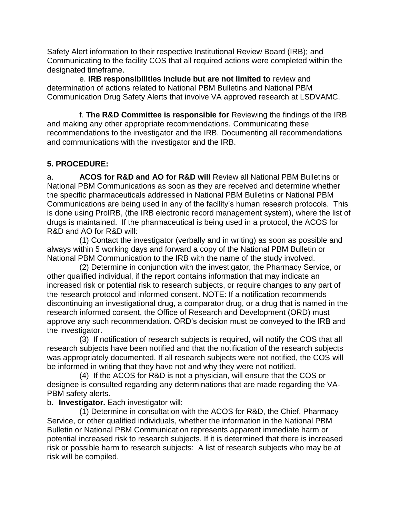Safety Alert information to their respective Institutional Review Board (IRB); and Communicating to the facility COS that all required actions were completed within the designated timeframe.

e. **IRB responsibilities include but are not limited to** review and determination of actions related to National PBM Bulletins and National PBM Communication Drug Safety Alerts that involve VA approved research at LSDVAMC.

f. **The R&D Committee is responsible for** Reviewing the findings of the IRB and making any other appropriate recommendations. Communicating these recommendations to the investigator and the IRB. Documenting all recommendations and communications with the investigator and the IRB.

# **5. PROCEDURE:**

a. **ACOS for R&D and AO for R&D will** Review all National PBM Bulletins or National PBM Communications as soon as they are received and determine whether the specific pharmaceuticals addressed in National PBM Bulletins or National PBM Communications are being used in any of the facility's human research protocols. This is done using ProIRB, (the IRB electronic record management system), where the list of drugs is maintained. If the pharmaceutical is being used in a protocol, the ACOS for R&D and AO for R&D will:

(1) Contact the investigator (verbally and in writing) as soon as possible and always within 5 working days and forward a copy of the National PBM Bulletin or National PBM Communication to the IRB with the name of the study involved.

(2) Determine in conjunction with the investigator, the Pharmacy Service, or other qualified individual, if the report contains information that may indicate an increased risk or potential risk to research subjects, or require changes to any part of the research protocol and informed consent. NOTE: If a notification recommends discontinuing an investigational drug, a comparator drug, or a drug that is named in the research informed consent, the Office of Research and Development (ORD) must approve any such recommendation. ORD's decision must be conveyed to the IRB and the investigator.

(3) If notification of research subjects is required, will notify the COS that all research subjects have been notified and that the notification of the research subjects was appropriately documented. If all research subjects were not notified, the COS will be informed in writing that they have not and why they were not notified.

(4) If the ACOS for R&D is not a physician, will ensure that the COS or designee is consulted regarding any determinations that are made regarding the VA-PBM safety alerts.

## b. **Investigator.** Each investigator will:

(1) Determine in consultation with the ACOS for R&D, the Chief, Pharmacy Service, or other qualified individuals, whether the information in the National PBM Bulletin or National PBM Communication represents apparent immediate harm or potential increased risk to research subjects. If it is determined that there is increased risk or possible harm to research subjects: A list of research subjects who may be at risk will be compiled.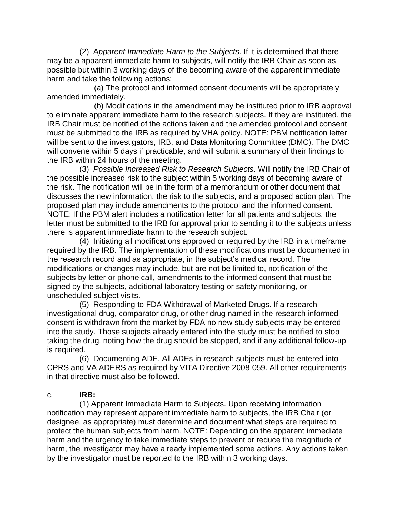(2) A*pparent Immediate Harm to the Subjects*. If it is determined that there may be a apparent immediate harm to subjects, will notify the IRB Chair as soon as possible but within 3 working days of the becoming aware of the apparent immediate harm and take the following actions:

(a) The protocol and informed consent documents will be appropriately amended immediately.

(b) Modifications in the amendment may be instituted prior to IRB approval to eliminate apparent immediate harm to the research subjects. If they are instituted, the IRB Chair must be notified of the actions taken and the amended protocol and consent must be submitted to the IRB as required by VHA policy. NOTE: PBM notification letter will be sent to the investigators, IRB, and Data Monitoring Committee (DMC). The DMC will convene within 5 days if practicable, and will submit a summary of their findings to the IRB within 24 hours of the meeting.

(3) *Possible Increased Risk to Research Subjects*. Will notify the IRB Chair of the possible increased risk to the subject within 5 working days of becoming aware of the risk. The notification will be in the form of a memorandum or other document that discusses the new information, the risk to the subjects, and a proposed action plan. The proposed plan may include amendments to the protocol and the informed consent. NOTE: If the PBM alert includes a notification letter for all patients and subjects, the letter must be submitted to the IRB for approval prior to sending it to the subjects unless there is apparent immediate harm to the research subject.

(4) Initiating all modifications approved or required by the IRB in a timeframe required by the IRB. The implementation of these modifications must be documented in the research record and as appropriate, in the subject's medical record. The modifications or changes may include, but are not be limited to, notification of the subjects by letter or phone call, amendments to the informed consent that must be signed by the subjects, additional laboratory testing or safety monitoring, or unscheduled subject visits.

(5) Responding to FDA Withdrawal of Marketed Drugs. If a research investigational drug, comparator drug, or other drug named in the research informed consent is withdrawn from the market by FDA no new study subjects may be entered into the study. Those subjects already entered into the study must be notified to stop taking the drug, noting how the drug should be stopped, and if any additional follow-up is required.

(6) Documenting ADE. All ADEs in research subjects must be entered into CPRS and VA ADERS as required by VITA Directive 2008-059. All other requirements in that directive must also be followed.

#### c. **IRB:**

(1) Apparent Immediate Harm to Subjects. Upon receiving information notification may represent apparent immediate harm to subjects, the IRB Chair (or designee, as appropriate) must determine and document what steps are required to protect the human subjects from harm. NOTE: Depending on the apparent immediate harm and the urgency to take immediate steps to prevent or reduce the magnitude of harm, the investigator may have already implemented some actions. Any actions taken by the investigator must be reported to the IRB within 3 working days.